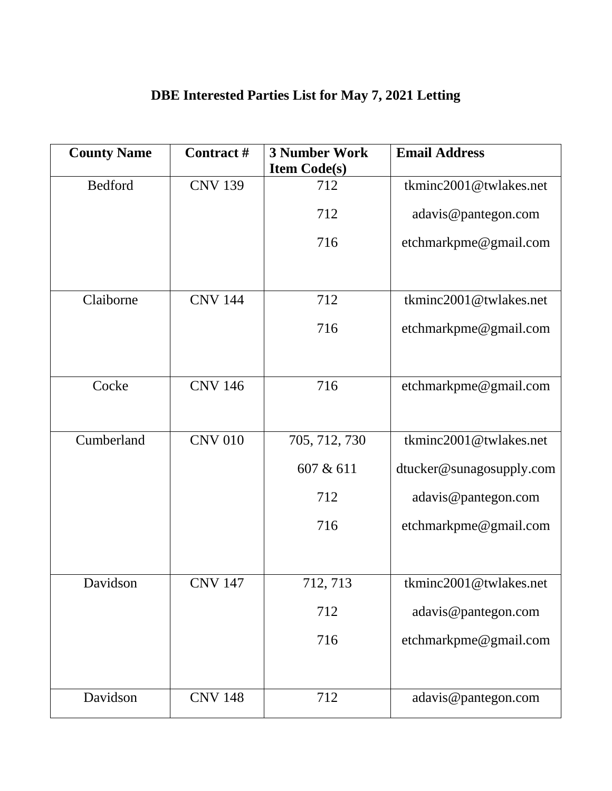| <b>County Name</b> | Contract#      | <b>3 Number Work</b><br><b>Item Code(s)</b> | <b>Email Address</b>     |
|--------------------|----------------|---------------------------------------------|--------------------------|
| Bedford            | <b>CNV 139</b> | 712                                         | tkminc2001@twlakes.net   |
|                    |                | 712                                         | adavis@pantegon.com      |
|                    |                | 716                                         | etchmarkpme@gmail.com    |
|                    |                |                                             |                          |
| Claiborne          | <b>CNV 144</b> | 712                                         | tkminc2001@twlakes.net   |
|                    |                | 716                                         | etchmarkpme@gmail.com    |
|                    |                |                                             |                          |
| Cocke              | <b>CNV 146</b> | 716                                         | etchmarkpme@gmail.com    |
|                    |                |                                             |                          |
| Cumberland         | <b>CNV 010</b> | 705, 712, 730                               | tkminc2001@twlakes.net   |
|                    |                | 607 & 611                                   | dtucker@sunagosupply.com |
|                    |                | 712                                         | adavis@pantegon.com      |
|                    |                | 716                                         | etchmarkpme@gmail.com    |
|                    |                |                                             |                          |
| Davidson           | CNV 147        | 712, 713                                    | tkminc2001@twlakes.net   |
|                    |                | 712                                         | adavis@pantegon.com      |
|                    |                | 716                                         | etchmarkpme@gmail.com    |
|                    |                |                                             |                          |
| Davidson           | <b>CNV 148</b> | 712                                         | adavis@pantegon.com      |

## **DBE Interested Parties List for May 7, 2021 Letting**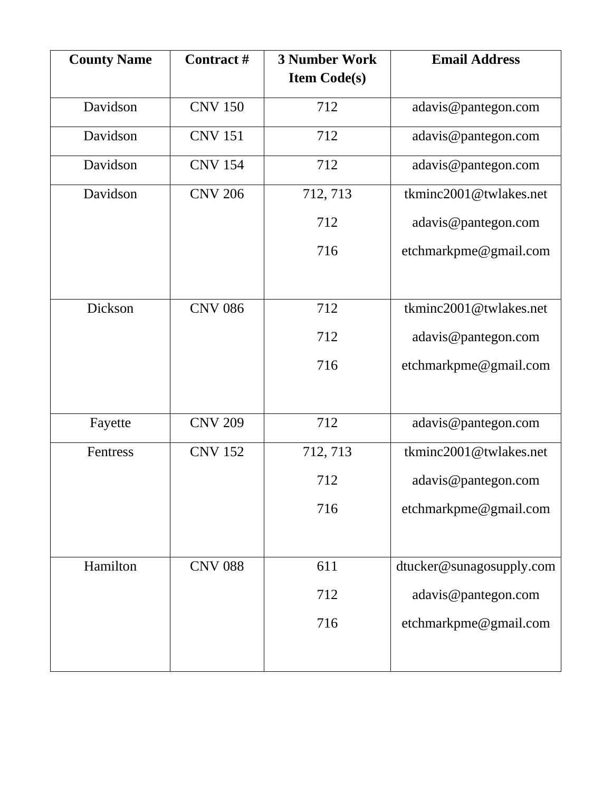| <b>County Name</b> | Contract#      | <b>3 Number Work</b><br><b>Item Code(s)</b> | <b>Email Address</b>     |
|--------------------|----------------|---------------------------------------------|--------------------------|
| Davidson           | <b>CNV 150</b> | 712                                         | adavis@pantegon.com      |
| Davidson           | <b>CNV 151</b> | 712                                         | adavis@pantegon.com      |
| Davidson           | <b>CNV 154</b> | 712                                         | adavis@pantegon.com      |
| Davidson           | <b>CNV 206</b> | 712, 713                                    | tkminc2001@twlakes.net   |
|                    |                | 712                                         | adavis@pantegon.com      |
|                    |                | 716                                         | etchmarkpme@gmail.com    |
|                    |                |                                             |                          |
| Dickson            | <b>CNV 086</b> | 712                                         | tkminc2001@twlakes.net   |
|                    |                | 712                                         | adavis@pantegon.com      |
|                    |                | 716                                         | etchmarkpme@gmail.com    |
|                    |                |                                             |                          |
| Fayette            | <b>CNV 209</b> | 712                                         | adavis@pantegon.com      |
| Fentress           | <b>CNV 152</b> | 712, 713                                    | tkminc2001@twlakes.net   |
|                    |                | 712                                         | adavis@pantegon.com      |
|                    |                | 716                                         | etchmarkpme@gmail.com    |
|                    |                |                                             |                          |
| Hamilton           | <b>CNV 088</b> | 611                                         | dtucker@sunagosupply.com |
|                    |                | 712                                         | adavis@pantegon.com      |
|                    |                | 716                                         | etchmarkpme@gmail.com    |
|                    |                |                                             |                          |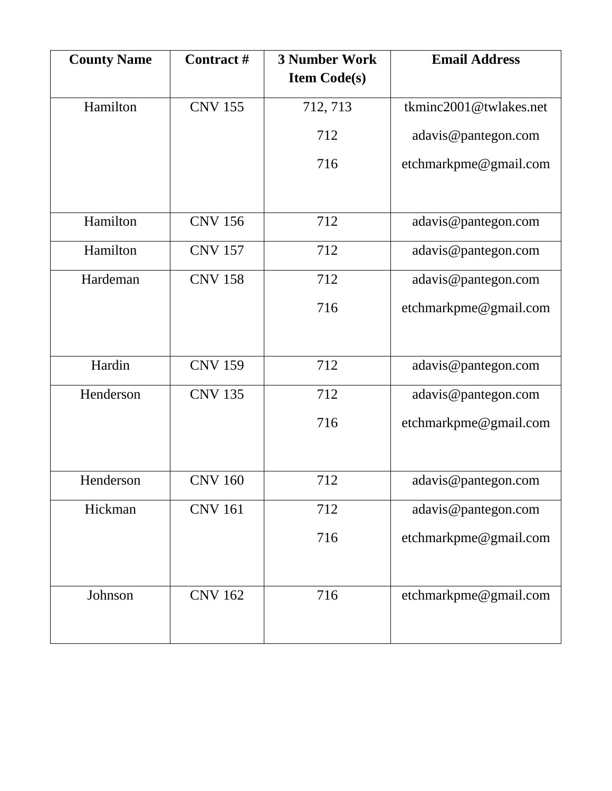| <b>County Name</b> | Contract#      | <b>3 Number Work</b><br><b>Item Code(s)</b> | <b>Email Address</b>   |
|--------------------|----------------|---------------------------------------------|------------------------|
|                    |                |                                             |                        |
| Hamilton           | <b>CNV 155</b> | 712, 713                                    | tkminc2001@twlakes.net |
|                    |                | 712                                         | adavis@pantegon.com    |
|                    |                | 716                                         | etchmarkpme@gmail.com  |
|                    |                |                                             |                        |
| Hamilton           | <b>CNV 156</b> | 712                                         | adavis@pantegon.com    |
| Hamilton           | <b>CNV 157</b> | 712                                         | adavis@pantegon.com    |
| Hardeman           | <b>CNV 158</b> | 712                                         | adavis@pantegon.com    |
|                    |                | 716                                         | etchmarkpme@gmail.com  |
|                    |                |                                             |                        |
| Hardin             | <b>CNV 159</b> | 712                                         | adavis@pantegon.com    |
| Henderson          | <b>CNV 135</b> | 712                                         | adavis@pantegon.com    |
|                    |                | 716                                         | etchmarkpme@gmail.com  |
|                    |                |                                             |                        |
| Henderson          | <b>CNV 160</b> | 712                                         | adavis@pantegon.com    |
| Hickman            | <b>CNV 161</b> | 712                                         | adavis@pantegon.com    |
|                    |                | 716                                         | etchmarkpme@gmail.com  |
|                    |                |                                             |                        |
| Johnson            | <b>CNV 162</b> | 716                                         | etchmarkpme@gmail.com  |
|                    |                |                                             |                        |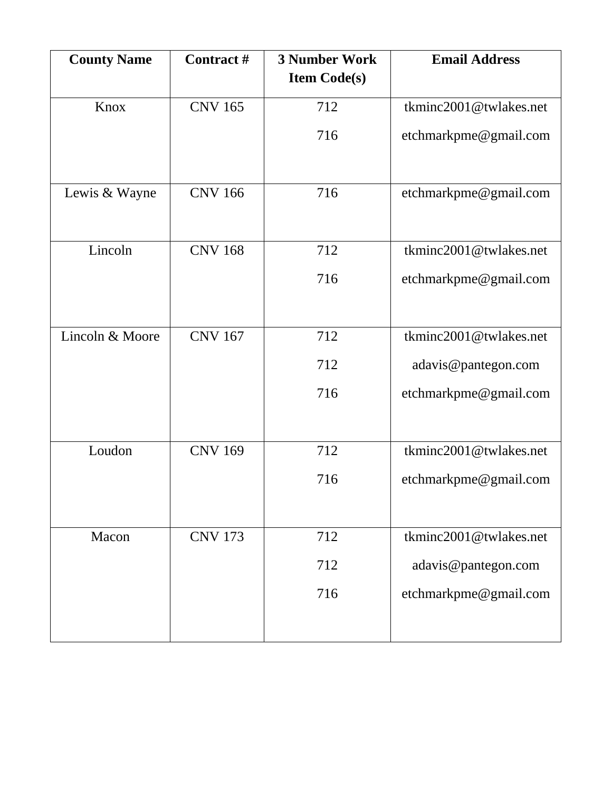| <b>County Name</b> | Contract#      | <b>3 Number Work</b><br><b>Item Code(s)</b> | <b>Email Address</b>   |
|--------------------|----------------|---------------------------------------------|------------------------|
| Knox               | <b>CNV 165</b> | 712                                         | tkminc2001@twlakes.net |
|                    |                |                                             |                        |
|                    |                | 716                                         | etchmarkpme@gmail.com  |
|                    |                |                                             |                        |
| Lewis & Wayne      | <b>CNV 166</b> | 716                                         | etchmarkpme@gmail.com  |
|                    |                |                                             |                        |
| Lincoln            | <b>CNV 168</b> | 712                                         | tkminc2001@twlakes.net |
|                    |                | 716                                         | etchmarkpme@gmail.com  |
|                    |                |                                             |                        |
| Lincoln & Moore    | <b>CNV 167</b> | 712                                         | tkminc2001@twlakes.net |
|                    |                | 712                                         | adavis@pantegon.com    |
|                    |                | 716                                         | etchmarkpme@gmail.com  |
|                    |                |                                             |                        |
| Loudon             | <b>CNV 169</b> | 712                                         | tkminc2001@twlakes.net |
|                    |                | 716                                         | etchmarkpme@gmail.com  |
|                    |                |                                             |                        |
| Macon              | <b>CNV 173</b> | 712                                         | tkminc2001@twlakes.net |
|                    |                | 712                                         | adavis@pantegon.com    |
|                    |                | 716                                         | etchmarkpme@gmail.com  |
|                    |                |                                             |                        |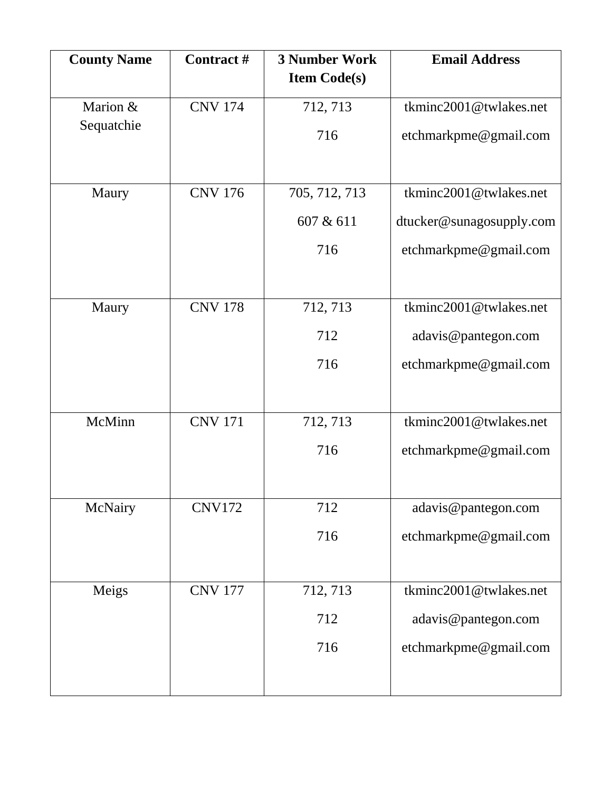| <b>County Name</b> | <b>Contract#</b> | <b>3 Number Work</b> | <b>Email Address</b>     |
|--------------------|------------------|----------------------|--------------------------|
|                    |                  | <b>Item Code(s)</b>  |                          |
| Marion &           | <b>CNV 174</b>   | 712, 713             | tkminc2001@twlakes.net   |
| Sequatchie         |                  | 716                  | etchmarkpme@gmail.com    |
|                    |                  |                      |                          |
| Maury              | <b>CNV 176</b>   | 705, 712, 713        | tkminc2001@twlakes.net   |
|                    |                  | 607 & 611            | dtucker@sunagosupply.com |
|                    |                  | 716                  | etchmarkpme@gmail.com    |
|                    |                  |                      |                          |
| Maury              | <b>CNV 178</b>   | 712, 713             | tkminc2001@twlakes.net   |
|                    |                  | 712                  | adavis@pantegon.com      |
|                    |                  | 716                  | etchmarkpme@gmail.com    |
|                    |                  |                      |                          |
| McMinn             | <b>CNV 171</b>   | 712, 713             | tkminc2001@twlakes.net   |
|                    |                  | 716                  | etchmarkpme@gmail.com    |
|                    |                  |                      |                          |
| McNairy            | <b>CNV172</b>    | 712                  | adavis@pantegon.com      |
|                    |                  | 716                  | etchmarkpme@gmail.com    |
|                    |                  |                      |                          |
| Meigs              | <b>CNV 177</b>   | 712, 713             | tkminc2001@twlakes.net   |
|                    |                  | 712                  | adavis@pantegon.com      |
|                    |                  | 716                  | etchmarkpme@gmail.com    |
|                    |                  |                      |                          |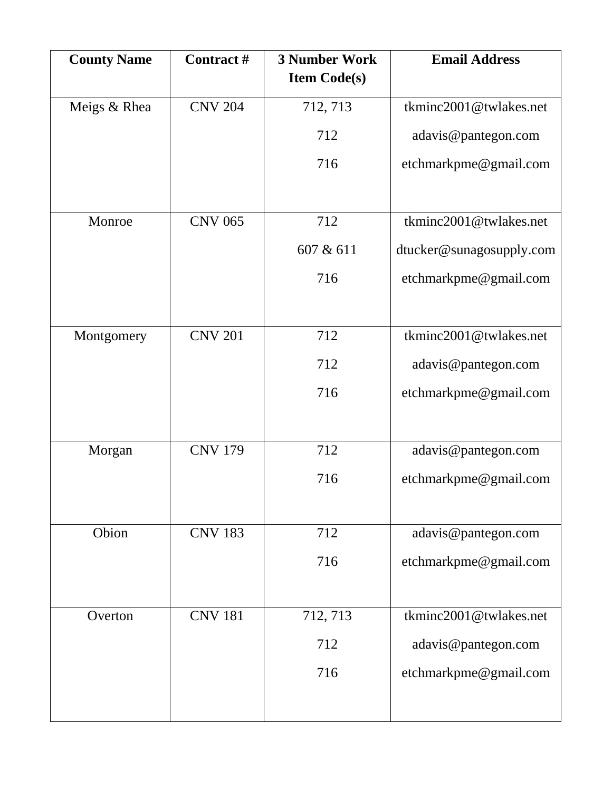| <b>County Name</b> | Contract#      | <b>3 Number Work</b><br><b>Item Code(s)</b> | <b>Email Address</b>     |
|--------------------|----------------|---------------------------------------------|--------------------------|
| Meigs & Rhea       | <b>CNV 204</b> | 712, 713                                    | tkminc2001@twlakes.net   |
|                    |                | 712                                         | adavis@pantegon.com      |
|                    |                | 716                                         | etchmarkpme@gmail.com    |
|                    |                |                                             |                          |
| Monroe             | <b>CNV 065</b> | 712                                         | tkminc2001@twlakes.net   |
|                    |                | 607 & 611                                   | dtucker@sunagosupply.com |
|                    |                | 716                                         | etchmarkpme@gmail.com    |
|                    |                |                                             |                          |
| Montgomery         | <b>CNV 201</b> | 712                                         | tkminc2001@twlakes.net   |
|                    |                | 712                                         | adavis@pantegon.com      |
|                    |                | 716                                         | etchmarkpme@gmail.com    |
|                    |                |                                             |                          |
| Morgan             | <b>CNV 179</b> | 712                                         | adavis@pantegon.com      |
|                    |                | 716                                         | etchmarkpme@gmail.com    |
|                    |                |                                             |                          |
| Obion              | <b>CNV 183</b> | 712                                         | adavis@pantegon.com      |
|                    |                | 716                                         | etchmarkpme@gmail.com    |
|                    |                |                                             |                          |
| Overton            | <b>CNV 181</b> | 712, 713                                    | tkminc2001@twlakes.net   |
|                    |                | 712                                         | adavis@pantegon.com      |
|                    |                | 716                                         | etchmarkpme@gmail.com    |
|                    |                |                                             |                          |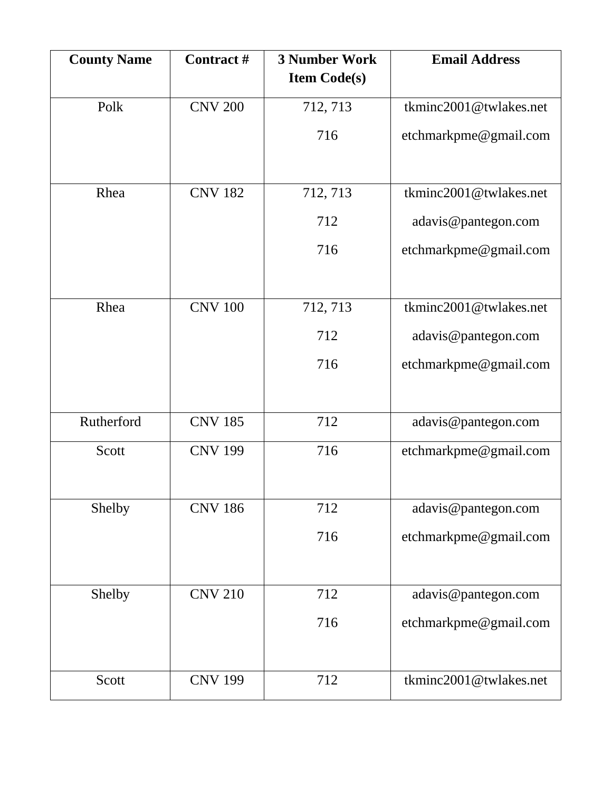| <b>County Name</b> | Contract #     | <b>3 Number Work</b><br><b>Item Code(s)</b> | <b>Email Address</b>   |
|--------------------|----------------|---------------------------------------------|------------------------|
|                    |                |                                             |                        |
| Polk               | <b>CNV 200</b> | 712, 713                                    | tkminc2001@twlakes.net |
|                    |                | 716                                         | etchmarkpme@gmail.com  |
|                    |                |                                             |                        |
| Rhea               | <b>CNV 182</b> | 712, 713                                    | tkminc2001@twlakes.net |
|                    |                | 712                                         | adavis@pantegon.com    |
|                    |                | 716                                         | etchmarkpme@gmail.com  |
|                    |                |                                             |                        |
| Rhea               | <b>CNV 100</b> | 712, 713                                    | tkminc2001@twlakes.net |
|                    |                | 712                                         | adavis@pantegon.com    |
|                    |                | 716                                         | etchmarkpme@gmail.com  |
|                    |                |                                             |                        |
| Rutherford         | <b>CNV 185</b> | 712                                         | adavis@pantegon.com    |
| Scott              | <b>CNV 199</b> | 716                                         | etchmarkpme@gmail.com  |
|                    |                |                                             |                        |
| Shelby             | <b>CNV 186</b> | 712                                         | adavis@pantegon.com    |
|                    |                | 716                                         | etchmarkpme@gmail.com  |
|                    |                |                                             |                        |
| Shelby             | <b>CNV 210</b> | 712                                         | adavis@pantegon.com    |
|                    |                | 716                                         | etchmarkpme@gmail.com  |
|                    |                |                                             |                        |
| Scott              | <b>CNV 199</b> | 712                                         | tkminc2001@twlakes.net |